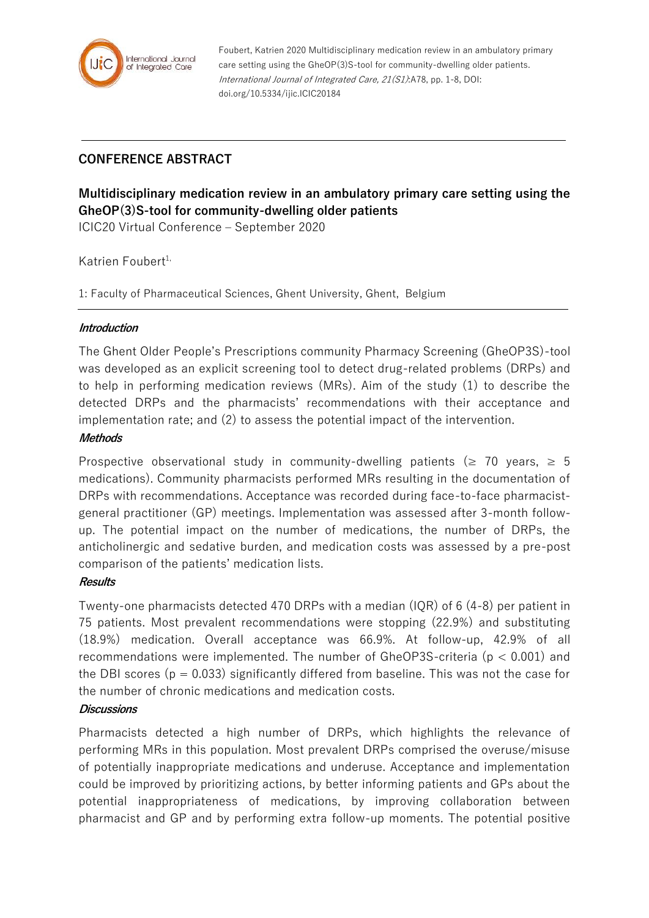

Foubert, Katrien 2020 Multidisciplinary medication review in an ambulatory primary care setting using the GheOP(3)S-tool for community-dwelling older patients. International Journal of Integrated Care, 21(S1):A78, pp. 1-8, DOI: doi.org/10.5334/ijic.ICIC20184

## **CONFERENCE ABSTRACT**

# **Multidisciplinary medication review in an ambulatory primary care setting using the GheOP(3)S-tool for community-dwelling older patients**

ICIC20 Virtual Conference – September 2020

### Katrien Foubert $1$ ,

1: Faculty of Pharmaceutical Sciences, Ghent University, Ghent, Belgium

#### **Introduction**

The Ghent Older People's Prescriptions community Pharmacy Screening (GheOP3S)-tool was developed as an explicit screening tool to detect drug-related problems (DRPs) and to help in performing medication reviews (MRs). Aim of the study (1) to describe the detected DRPs and the pharmacists' recommendations with their acceptance and implementation rate; and (2) to assess the potential impact of the intervention.

#### **Methods**

Prospective observational study in community-dwelling patients ( $\geq 70$  years,  $\geq 5$ medications). Community pharmacists performed MRs resulting in the documentation of DRPs with recommendations. Acceptance was recorded during face-to-face pharmacistgeneral practitioner (GP) meetings. Implementation was assessed after 3-month followup. The potential impact on the number of medications, the number of DRPs, the anticholinergic and sedative burden, and medication costs was assessed by a pre-post comparison of the patients' medication lists.

## **Results**

Twenty-one pharmacists detected 470 DRPs with a median (IQR) of 6 (4-8) per patient in 75 patients. Most prevalent recommendations were stopping (22.9%) and substituting (18.9%) medication. Overall acceptance was 66.9%. At follow-up, 42.9% of all recommendations were implemented. The number of GheOP3S-criteria ( $p < 0.001$ ) and the DBI scores ( $p = 0.033$ ) significantly differed from baseline. This was not the case for the number of chronic medications and medication costs.

## **Discussions**

Pharmacists detected a high number of DRPs, which highlights the relevance of performing MRs in this population. Most prevalent DRPs comprised the overuse/misuse of potentially inappropriate medications and underuse. Acceptance and implementation could be improved by prioritizing actions, by better informing patients and GPs about the potential inappropriateness of medications, by improving collaboration between pharmacist and GP and by performing extra follow-up moments. The potential positive